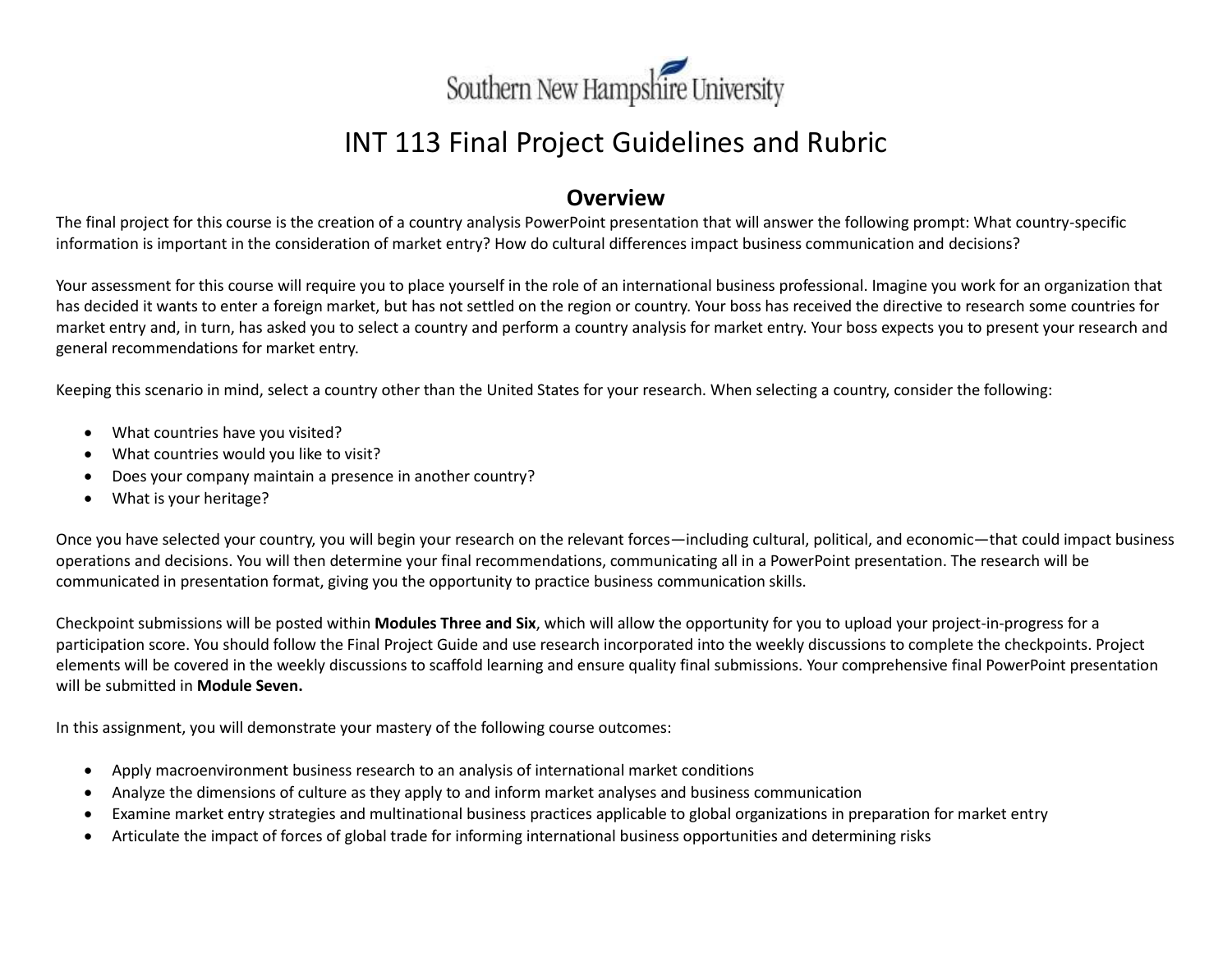

# INT 113 Final Project Guidelines and Rubric

### **Overview**

The final project for this course is the creation of a country analysis PowerPoint presentation that will answer the following prompt: What country-specific information is important in the consideration of market entry? How do cultural differences impact business communication and decisions?

Your assessment for this course will require you to place yourself in the role of an international business professional. Imagine you work for an organization that has decided it wants to enter a foreign market, but has not settled on the region or country. Your boss has received the directive to research some countries for market entry and, in turn, has asked you to select a country and perform a country analysis for market entry. Your boss expects you to present your research and general recommendations for market entry.

Keeping this scenario in mind, select a country other than the United States for your research. When selecting a country, consider the following:

- What countries have you visited?
- What countries would you like to visit?
- Does your company maintain a presence in another country?
- What is your heritage?

Once you have selected your country, you will begin your research on the relevant forces—including cultural, political, and economic—that could impact business operations and decisions. You will then determine your final recommendations, communicating all in a PowerPoint presentation. The research will be communicated in presentation format, giving you the opportunity to practice business communication skills.

Checkpoint submissions will be posted within **Modules Three and Six**, which will allow the opportunity for you to upload your project-in-progress for a participation score. You should follow the Final Project Guide and use research incorporated into the weekly discussions to complete the checkpoints. Project elements will be covered in the weekly discussions to scaffold learning and ensure quality final submissions. Your comprehensive final PowerPoint presentation will be submitted in **Module Seven.**

In this assignment, you will demonstrate your mastery of the following course outcomes:

- Apply macroenvironment business research to an analysis of international market conditions
- Analyze the dimensions of culture as they apply to and inform market analyses and business communication
- Examine market entry strategies and multinational business practices applicable to global organizations in preparation for market entry
- Articulate the impact of forces of global trade for informing international business opportunities and determining risks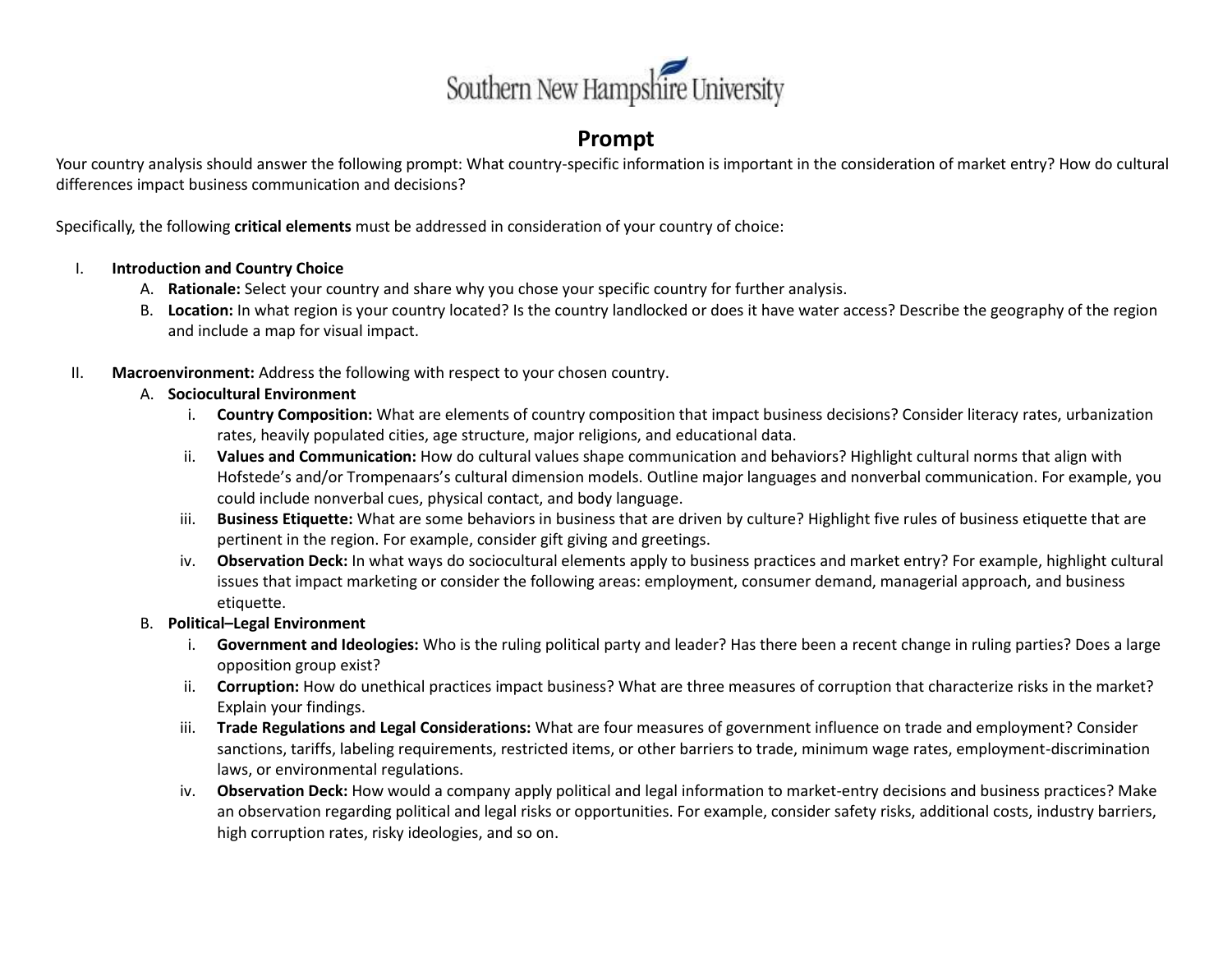

### **Prompt**

Your country analysis should answer the following prompt: What country-specific information is important in the consideration of market entry? How do cultural differences impact business communication and decisions?

Specifically, the following **critical elements** must be addressed in consideration of your country of choice:

#### I. **Introduction and Country Choice**

- A. **Rationale:** Select your country and share why you chose your specific country for further analysis.
- B. **Location:** In what region is your country located? Is the country landlocked or does it have water access? Describe the geography of the region and include a map for visual impact.
- II. **Macroenvironment:** Address the following with respect to your chosen country.

#### A. **Sociocultural Environment**

- i. **Country Composition:** What are elements of country composition that impact business decisions? Consider literacy rates, urbanization rates, heavily populated cities, age structure, major religions, and educational data.
- ii. **Values and Communication:** How do cultural values shape communication and behaviors? Highlight cultural norms that align with Hofstede's and/or Trompenaars's cultural dimension models. Outline major languages and nonverbal communication. For example, you could include nonverbal cues, physical contact, and body language.
- iii. **Business Etiquette:** What are some behaviors in business that are driven by culture? Highlight five rules of business etiquette that are pertinent in the region. For example, consider gift giving and greetings.
- iv. **Observation Deck:** In what ways do sociocultural elements apply to business practices and market entry? For example, highlight cultural issues that impact marketing or consider the following areas: employment, consumer demand, managerial approach, and business etiquette.

#### B. **Political–Legal Environment**

- i. **Government and Ideologies:** Who is the ruling political party and leader? Has there been a recent change in ruling parties? Does a large opposition group exist?
- ii. **Corruption:** How do unethical practices impact business? What are three measures of corruption that characterize risks in the market? Explain your findings.
- iii. **Trade Regulations and Legal Considerations:** What are four measures of government influence on trade and employment? Consider sanctions, tariffs, labeling requirements, restricted items, or other barriers to trade, minimum wage rates, employment-discrimination laws, or environmental regulations.
- iv. **Observation Deck:** How would a company apply political and legal information to market-entry decisions and business practices? Make an observation regarding political and legal risks or opportunities. For example, consider safety risks, additional costs, industry barriers, high corruption rates, risky ideologies, and so on.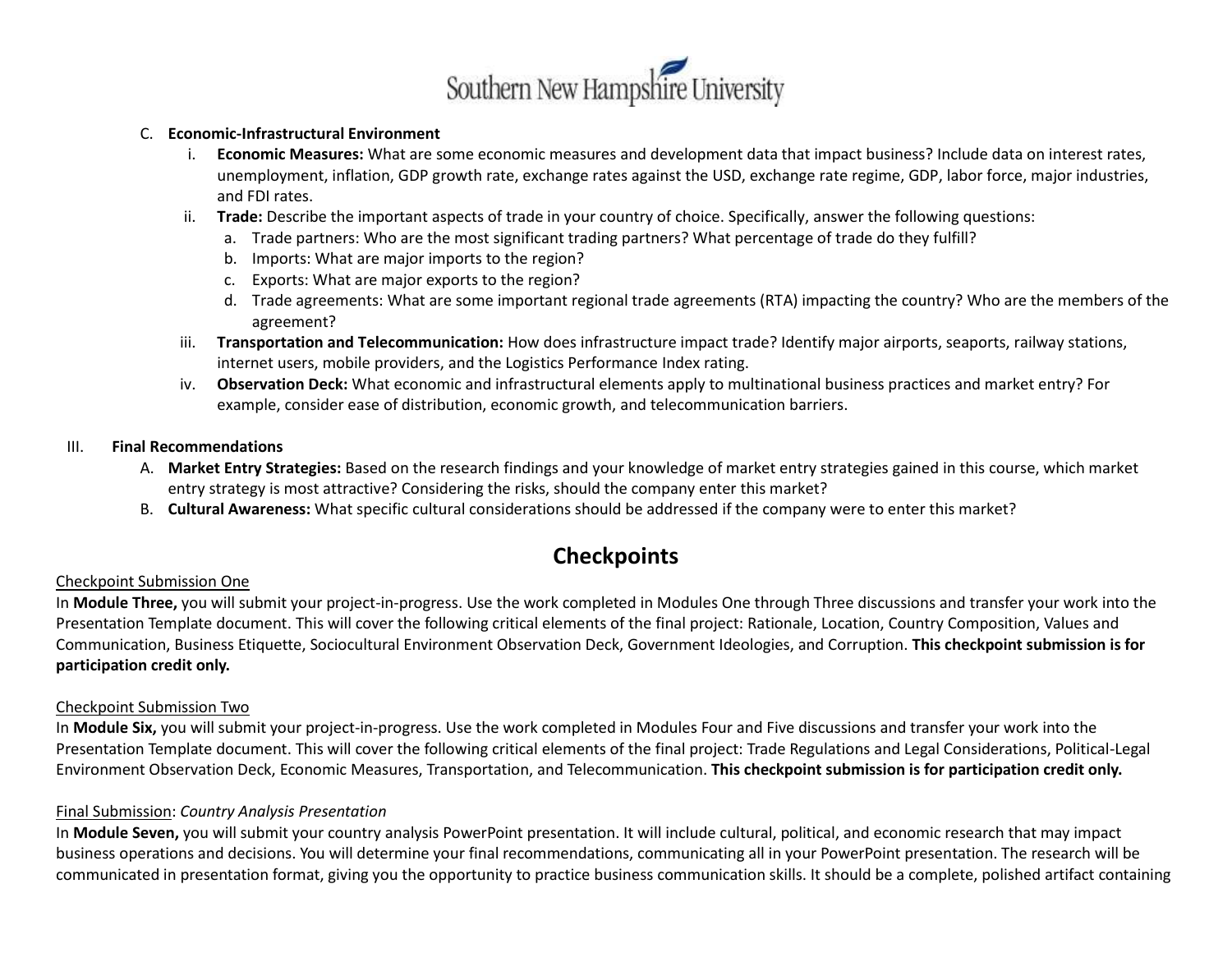

#### C. **Economic-Infrastructural Environment**

- i. **Economic Measures:** What are some economic measures and development data that impact business? Include data on interest rates, unemployment, inflation, GDP growth rate, exchange rates against the USD, exchange rate regime, GDP, labor force, major industries, and FDI rates.
- ii. **Trade:** Describe the important aspects of trade in your country of choice. Specifically, answer the following questions:
	- a. Trade partners: Who are the most significant trading partners? What percentage of trade do they fulfill?
	- b. Imports: What are major imports to the region?
	- c. Exports: What are major exports to the region?
	- d. Trade agreements: What are some important regional trade agreements (RTA) impacting the country? Who are the members of the agreement?
- iii. **Transportation and Telecommunication:** How does infrastructure impact trade? Identify major airports, seaports, railway stations, internet users, mobile providers, and the Logistics Performance Index rating.
- iv. **Observation Deck:** What economic and infrastructural elements apply to multinational business practices and market entry? For example, consider ease of distribution, economic growth, and telecommunication barriers.

#### III. **Final Recommendations**

- A. **Market Entry Strategies:** Based on the research findings and your knowledge of market entry strategies gained in this course, which market entry strategy is most attractive? Considering the risks, should the company enter this market?
- B. **Cultural Awareness:** What specific cultural considerations should be addressed if the company were to enter this market?

### **Checkpoints**

#### Checkpoint Submission One

In **Module Three,** you will submit your project-in-progress. Use the work completed in Modules One through Three discussions and transfer your work into the Presentation Template document. This will cover the following critical elements of the final project: Rationale, Location, Country Composition, Values and Communication, Business Etiquette, Sociocultural Environment Observation Deck, Government Ideologies, and Corruption. **This checkpoint submission is for participation credit only.**

#### Checkpoint Submission Two

In **Module Six,** you will submit your project-in-progress. Use the work completed in Modules Four and Five discussions and transfer your work into the Presentation Template document. This will cover the following critical elements of the final project: Trade Regulations and Legal Considerations, Political-Legal Environment Observation Deck, Economic Measures, Transportation, and Telecommunication. **This checkpoint submission is for participation credit only.** 

#### Final Submission: *Country Analysis Presentation*

In **Module Seven,** you will submit your country analysis PowerPoint presentation. It will include cultural, political, and economic research that may impact business operations and decisions. You will determine your final recommendations, communicating all in your PowerPoint presentation. The research will be communicated in presentation format, giving you the opportunity to practice business communication skills. It should be a complete, polished artifact containing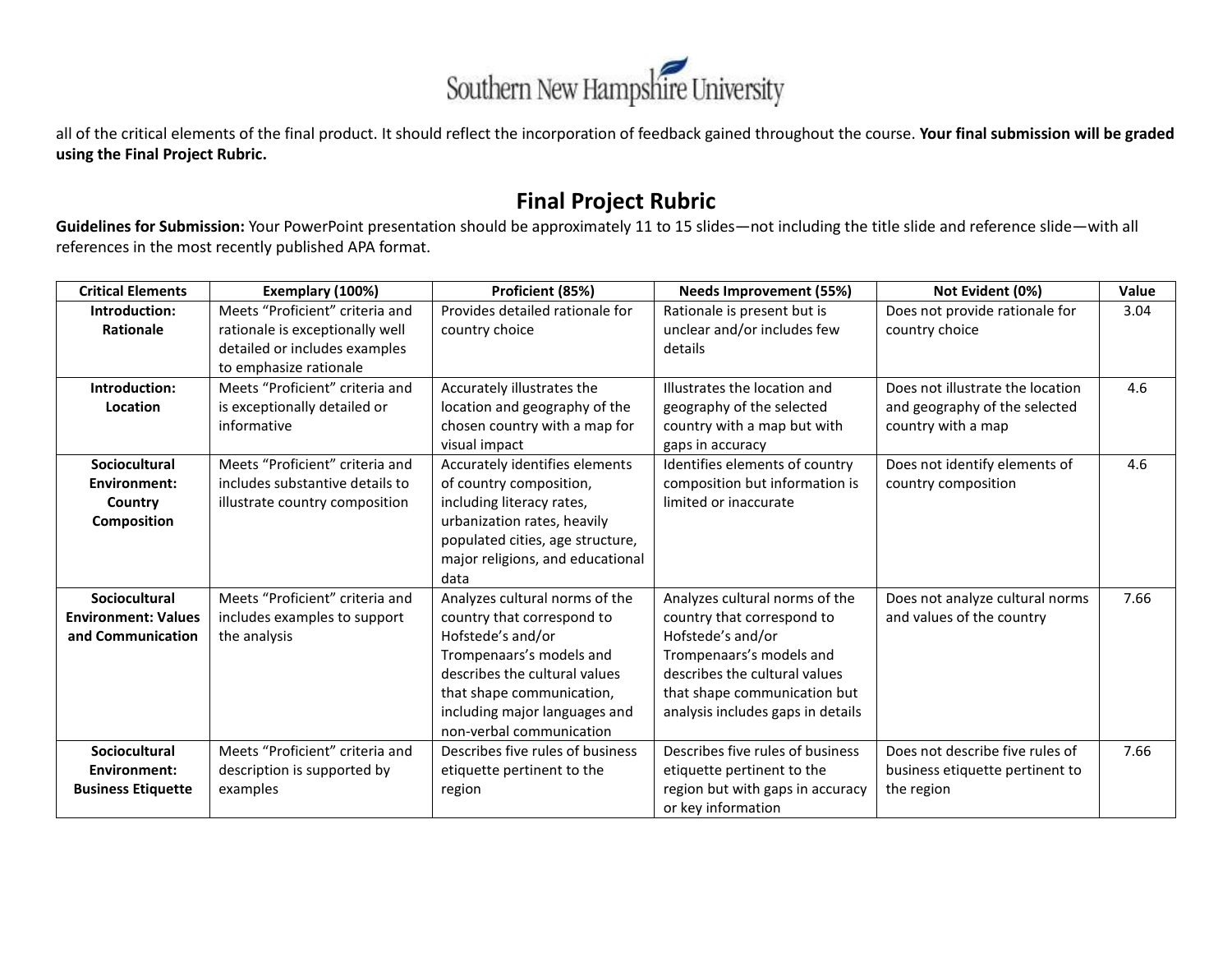

all of the critical elements of the final product. It should reflect the incorporation of feedback gained throughout the course. **Your final submission will be graded using the Final Project Rubric.**

## **Final Project Rubric**

**Guidelines for Submission:** Your PowerPoint presentation should be approximately 11 to 15 slides—not including the title slide and reference slide—with all references in the most recently published APA format.

| <b>Critical Elements</b>   | Exemplary (100%)                | Proficient (85%)                 | <b>Needs Improvement (55%)</b>    | Not Evident (0%)                 | Value |
|----------------------------|---------------------------------|----------------------------------|-----------------------------------|----------------------------------|-------|
| Introduction:              | Meets "Proficient" criteria and | Provides detailed rationale for  | Rationale is present but is       | Does not provide rationale for   | 3.04  |
| Rationale                  | rationale is exceptionally well | country choice                   | unclear and/or includes few       | country choice                   |       |
|                            | detailed or includes examples   |                                  | details                           |                                  |       |
|                            | to emphasize rationale          |                                  |                                   |                                  |       |
| Introduction:              | Meets "Proficient" criteria and | Accurately illustrates the       | Illustrates the location and      | Does not illustrate the location | 4.6   |
| Location                   | is exceptionally detailed or    | location and geography of the    | geography of the selected         | and geography of the selected    |       |
|                            | informative                     | chosen country with a map for    | country with a map but with       | country with a map               |       |
|                            |                                 | visual impact                    | gaps in accuracy                  |                                  |       |
| Sociocultural              | Meets "Proficient" criteria and | Accurately identifies elements   | Identifies elements of country    | Does not identify elements of    | 4.6   |
| Environment:               | includes substantive details to | of country composition,          | composition but information is    | country composition              |       |
| Country                    | illustrate country composition  | including literacy rates,        | limited or inaccurate             |                                  |       |
| <b>Composition</b>         |                                 | urbanization rates, heavily      |                                   |                                  |       |
|                            |                                 | populated cities, age structure, |                                   |                                  |       |
|                            |                                 | major religions, and educational |                                   |                                  |       |
|                            |                                 | data                             |                                   |                                  |       |
| <b>Sociocultural</b>       | Meets "Proficient" criteria and | Analyzes cultural norms of the   | Analyzes cultural norms of the    | Does not analyze cultural norms  | 7.66  |
| <b>Environment: Values</b> | includes examples to support    | country that correspond to       | country that correspond to        | and values of the country        |       |
| and Communication          | the analysis                    | Hofstede's and/or                | Hofstede's and/or                 |                                  |       |
|                            |                                 | Trompenaars's models and         | Trompenaars's models and          |                                  |       |
|                            |                                 | describes the cultural values    | describes the cultural values     |                                  |       |
|                            |                                 | that shape communication,        | that shape communication but      |                                  |       |
|                            |                                 | including major languages and    | analysis includes gaps in details |                                  |       |
|                            |                                 | non-verbal communication         |                                   |                                  |       |
| Sociocultural              | Meets "Proficient" criteria and | Describes five rules of business | Describes five rules of business  | Does not describe five rules of  | 7.66  |
| Environment:               | description is supported by     | etiquette pertinent to the       | etiquette pertinent to the        | business etiquette pertinent to  |       |
| <b>Business Etiquette</b>  | examples                        | region                           | region but with gaps in accuracy  | the region                       |       |
|                            |                                 |                                  | or key information                |                                  |       |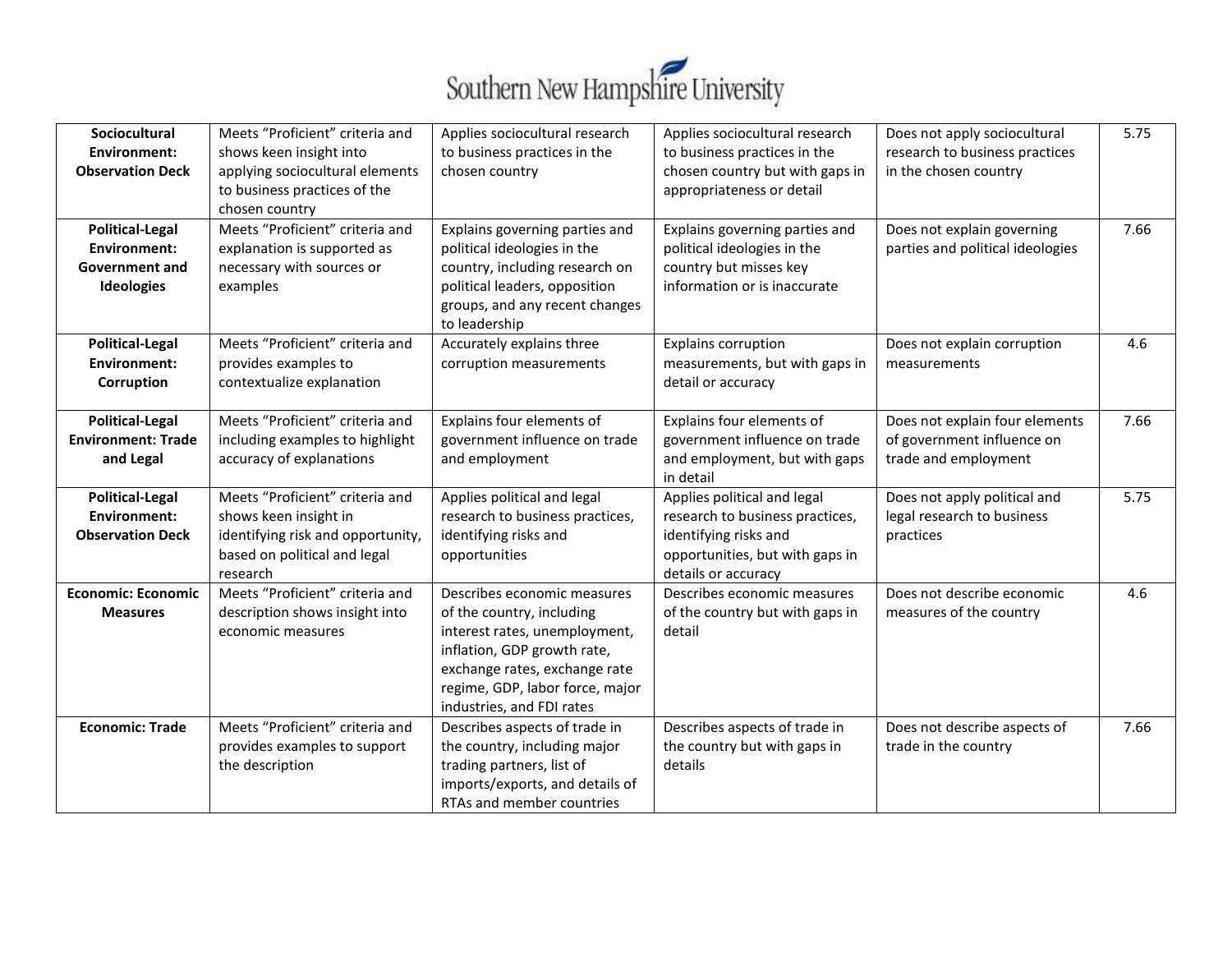

| Sociocultural<br>Environment:                       | Meets "Proficient" criteria and<br>shows keen insight into                        | Applies sociocultural research<br>to business practices in the | Applies sociocultural research<br>to business practices in the | Does not apply sociocultural<br>research to business practices | 5.75 |
|-----------------------------------------------------|-----------------------------------------------------------------------------------|----------------------------------------------------------------|----------------------------------------------------------------|----------------------------------------------------------------|------|
| <b>Observation Deck</b>                             | applying sociocultural elements<br>to business practices of the<br>chosen country | chosen country                                                 | chosen country but with gaps in<br>appropriateness or detail   | in the chosen country                                          |      |
| <b>Political-Legal</b>                              | Meets "Proficient" criteria and                                                   | Explains governing parties and                                 | Explains governing parties and                                 | Does not explain governing                                     | 7.66 |
| Environment:                                        | explanation is supported as                                                       | political ideologies in the                                    | political ideologies in the                                    | parties and political ideologies                               |      |
| <b>Government and</b>                               | necessary with sources or                                                         | country, including research on                                 | country but misses key                                         |                                                                |      |
| Ideologies                                          | examples                                                                          | political leaders, opposition                                  | information or is inaccurate                                   |                                                                |      |
|                                                     |                                                                                   | groups, and any recent changes<br>to leadership                |                                                                |                                                                |      |
| <b>Political-Legal</b>                              | Meets "Proficient" criteria and                                                   | Accurately explains three                                      | <b>Explains corruption</b>                                     | Does not explain corruption                                    | 4.6  |
| <b>Environment:</b>                                 | provides examples to                                                              | corruption measurements                                        | measurements, but with gaps in                                 | measurements                                                   |      |
| Corruption                                          | contextualize explanation                                                         |                                                                | detail or accuracy                                             |                                                                |      |
|                                                     |                                                                                   |                                                                |                                                                |                                                                |      |
| <b>Political-Legal</b><br><b>Environment: Trade</b> | Meets "Proficient" criteria and                                                   | Explains four elements of                                      | Explains four elements of                                      | Does not explain four elements                                 | 7.66 |
| and Legal                                           | including examples to highlight<br>accuracy of explanations                       | government influence on trade<br>and employment                | government influence on trade<br>and employment, but with gaps | of government influence on<br>trade and employment             |      |
|                                                     |                                                                                   |                                                                | in detail                                                      |                                                                |      |
| <b>Political-Legal</b>                              | Meets "Proficient" criteria and                                                   | Applies political and legal                                    | Applies political and legal                                    | Does not apply political and                                   | 5.75 |
| <b>Environment:</b>                                 | shows keen insight in                                                             | research to business practices,                                | research to business practices,                                | legal research to business                                     |      |
| <b>Observation Deck</b>                             | identifying risk and opportunity,                                                 | identifying risks and                                          | identifying risks and                                          | practices                                                      |      |
|                                                     | based on political and legal                                                      | opportunities                                                  | opportunities, but with gaps in                                |                                                                |      |
|                                                     | research                                                                          |                                                                | details or accuracy                                            |                                                                |      |
| <b>Economic: Economic</b>                           | Meets "Proficient" criteria and                                                   | Describes economic measures                                    | Describes economic measures                                    | Does not describe economic                                     | 4.6  |
| <b>Measures</b>                                     | description shows insight into                                                    | of the country, including                                      | of the country but with gaps in                                | measures of the country                                        |      |
|                                                     | economic measures                                                                 | interest rates, unemployment,                                  | detail                                                         |                                                                |      |
|                                                     |                                                                                   | inflation, GDP growth rate,                                    |                                                                |                                                                |      |
|                                                     |                                                                                   | exchange rates, exchange rate                                  |                                                                |                                                                |      |
|                                                     |                                                                                   | regime, GDP, labor force, major                                |                                                                |                                                                |      |
|                                                     |                                                                                   | industries, and FDI rates                                      |                                                                |                                                                |      |
| <b>Economic: Trade</b>                              | Meets "Proficient" criteria and                                                   | Describes aspects of trade in                                  | Describes aspects of trade in                                  | Does not describe aspects of                                   | 7.66 |
|                                                     | provides examples to support                                                      | the country, including major                                   | the country but with gaps in                                   | trade in the country                                           |      |
|                                                     | the description                                                                   | trading partners, list of<br>imports/exports, and details of   | details                                                        |                                                                |      |
|                                                     |                                                                                   | RTAs and member countries                                      |                                                                |                                                                |      |
|                                                     |                                                                                   |                                                                |                                                                |                                                                |      |